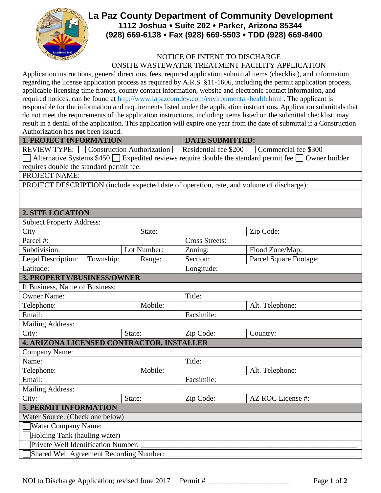

## **La Paz County Department of Community Development 1112 Joshua Suite 202 Parker, Arizona 85344 (928) 669-6138 Fax (928) 669-5503 TDD (928) 669-8400**

## NOTICE OF INTENT TO DISCHARGE ONSITE WASTEWATER TREATMENT FACILITY APPLICATION

Application instructions, general directions, fees, required application submittal items (checklist), and information regarding the license application process as required by A.R.S. §11-1606, including the permit application process, applicable licensing time frames, county contact information, website and electronic contact information, and required notices, can be found at<http://www.lapazcomdev.com/environmental-health.html> . The applicant is responsible for the information and requirements listed under the application instructions. Application submittals that do not meet the requirements of the application instructions, including items listed on the submittal checklist, may result in a denial of the application. This application will expire one year from the date of submittal if a Construction Authorization has **not** been issued.

**1. PROJECT INFORMATION DATE SUBMITTED:** 

REVIEW TYPE: Construction Authorization Residential fee \$200 Commercial fee \$300 Alternative Systems  $$450$  Expedited reviews require double the standard permit fee  $\square$  Owner builder requires double the standard permit fee.

PROJECT NAME:

PROJECT DESCRIPTION (include expected date of operation, rate, and volume of discharge):

## **2. SITE LOCATION**

| <b>Subject Property Address:</b>                 |           |         |             |                       |                        |  |
|--------------------------------------------------|-----------|---------|-------------|-----------------------|------------------------|--|
| City                                             |           |         | State:      |                       | Zip Code:              |  |
| Parcel #:                                        |           |         |             | <b>Cross Streets:</b> |                        |  |
| Subdivision:                                     |           |         | Lot Number: | Zoning:               | Flood Zone/Map:        |  |
| Legal Description:                               | Township: |         | Range:      | Section:              | Parcel Square Footage: |  |
| Latitude:                                        |           |         |             | Longitude:            |                        |  |
| 3. PROPERTY/BUSINESS/OWNER                       |           |         |             |                       |                        |  |
| If Business, Name of Business:                   |           |         |             |                       |                        |  |
| <b>Owner Name:</b>                               |           |         |             | Title:                |                        |  |
| Telephone:                                       |           | Mobile: |             | Alt. Telephone:       |                        |  |
| Email:                                           |           |         |             | Facsimile:            |                        |  |
| <b>Mailing Address:</b>                          |           |         |             |                       |                        |  |
| City:                                            |           | State:  |             | Zip Code:             | Country:               |  |
| <b>4. ARIZONA LICENSED CONTRACTOR, INSTALLER</b> |           |         |             |                       |                        |  |
| Company Name:                                    |           |         |             |                       |                        |  |
| Name:                                            |           |         |             | Title:                |                        |  |
| Telephone:                                       |           |         | Mobile:     |                       | Alt. Telephone:        |  |
| Email:                                           |           |         | Facsimile:  |                       |                        |  |
| <b>Mailing Address:</b>                          |           |         |             |                       |                        |  |
| City:                                            |           | State:  |             | Zip Code:             | AZ ROC License #:      |  |
| <b>5. PERMIT INFORMATION</b>                     |           |         |             |                       |                        |  |
| Water Source: (Check one below)                  |           |         |             |                       |                        |  |
| Water Company Name:                              |           |         |             |                       |                        |  |
| Holding Tank (hauling water)                     |           |         |             |                       |                        |  |
| Private Well Identification Number:              |           |         |             |                       |                        |  |
| Shared Well Agreement Recording Number:          |           |         |             |                       |                        |  |